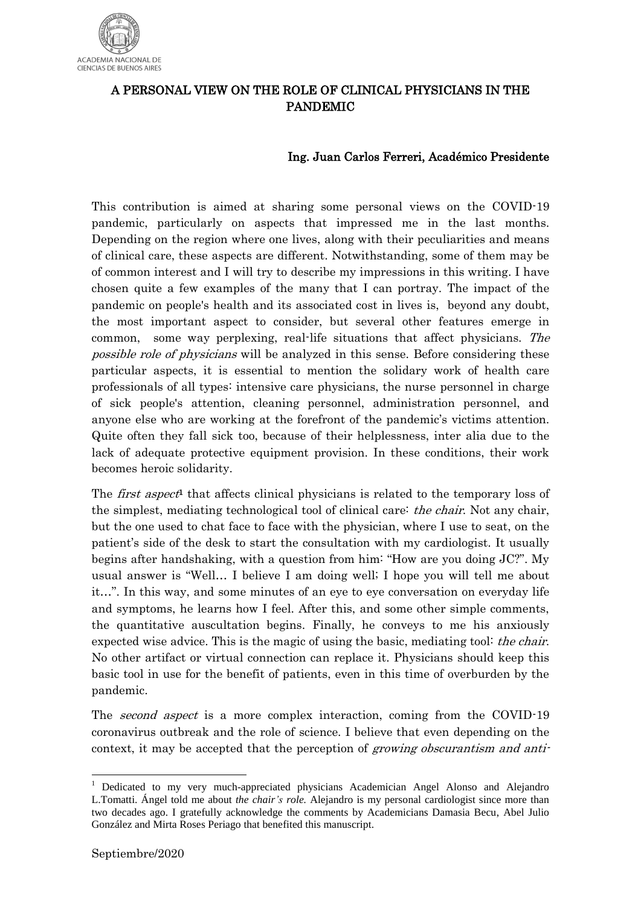

## A PERSONAL VIEW ON THE ROLE OF CLINICAL PHYSICIANS IN THE PANDEMIC

## Ing. Juan Carlos Ferreri, Académico Presidente

This contribution is aimed at sharing some personal views on the COVID-19 pandemic, particularly on aspects that impressed me in the last months. Depending on the region where one lives, along with their peculiarities and means of clinical care, these aspects are different. Notwithstanding, some of them may be of common interest and I will try to describe my impressions in this writing. I have chosen quite a few examples of the many that I can portray. The impact of the pandemic on people's health and its associated cost in lives is, beyond any doubt, the most important aspect to consider, but several other features emerge in common, some way perplexing, real-life situations that affect physicians. The possible role of physicians will be analyzed in this sense. Before considering these particular aspects, it is essential to mention the solidary work of health care professionals of all types: intensive care physicians, the nurse personnel in charge of sick people's attention, cleaning personnel, administration personnel, and anyone else who are working at the forefront of the pandemic's victims attention. Quite often they fall sick too, because of their helplessness, inter alia due to the lack of adequate protective equipment provision. In these conditions, their work becomes heroic solidarity.

The *first aspect*<sup>1</sup> that affects clinical physicians is related to the temporary loss of the simplest, mediating technological tool of clinical care: *the chair*. Not any chair, but the one used to chat face to face with the physician, where I use to seat, on the patient's side of the desk to start the consultation with my cardiologist. It usually begins after handshaking, with a question from him: "How are you doing JC?". My usual answer is "Well… I believe I am doing well; I hope you will tell me about it…". In this way, and some minutes of an eye to eye conversation on everyday life and symptoms, he learns how I feel. After this, and some other simple comments, the quantitative auscultation begins. Finally, he conveys to me his anxiously expected wise advice. This is the magic of using the basic, mediating tool: the chair. No other artifact or virtual connection can replace it. Physicians should keep this basic tool in use for the benefit of patients, even in this time of overburden by the pandemic.

The second aspect is a more complex interaction, coming from the COVID-19 coronavirus outbreak and the role of science. I believe that even depending on the context, it may be accepted that the perception of growing obscurantism and anti-

1

<sup>&</sup>lt;sup>1</sup> Dedicated to my very much-appreciated physicians Academician Angel Alonso and Alejandro L.Tomatti. Ángel told me about *the chair's role.* Alejandro is my personal cardiologist since more than two decades ago. I gratefully acknowledge the comments by Academicians Damasia Becu, Abel Julio González and Mirta Roses Periago that benefited this manuscript.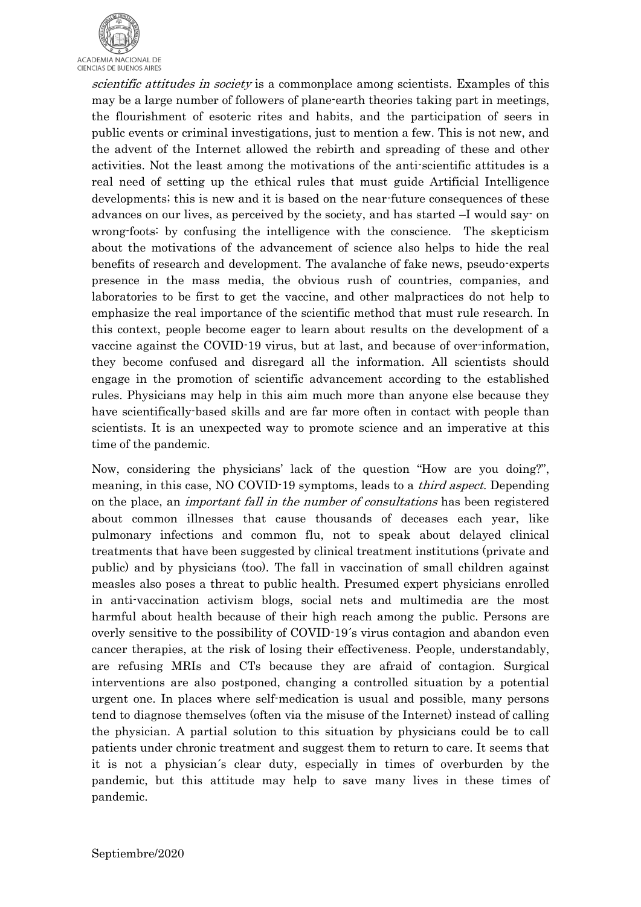

scientific attitudes in society is a commonplace among scientists. Examples of this may be a large number of followers of plane-earth theories taking part in meetings, the flourishment of esoteric rites and habits, and the participation of seers in public events or criminal investigations, just to mention a few. This is not new, and the advent of the Internet allowed the rebirth and spreading of these and other activities. Not the least among the motivations of the anti-scientific attitudes is a real need of setting up the ethical rules that must guide Artificial Intelligence developments; this is new and it is based on the near-future consequences of these advances on our lives, as perceived by the society, and has started –I would say- on wrong-foots: by confusing the intelligence with the conscience. The skepticism about the motivations of the advancement of science also helps to hide the real benefits of research and development. The avalanche of fake news, pseudo-experts presence in the mass media, the obvious rush of countries, companies, and laboratories to be first to get the vaccine, and other malpractices do not help to emphasize the real importance of the scientific method that must rule research. In this context, people become eager to learn about results on the development of a vaccine against the COVID-19 virus, but at last, and because of over-information, they become confused and disregard all the information. All scientists should engage in the promotion of scientific advancement according to the established rules. Physicians may help in this aim much more than anyone else because they have scientifically-based skills and are far more often in contact with people than scientists. It is an unexpected way to promote science and an imperative at this time of the pandemic.

Now, considering the physicians' lack of the question "How are you doing?", meaning, in this case, NO COVID-19 symptoms, leads to a *third aspect*. Depending on the place, an important fall in the number of consultations has been registered about common illnesses that cause thousands of deceases each year, like pulmonary infections and common flu, not to speak about delayed clinical treatments that have been suggested by clinical treatment institutions (private and public) and by physicians (too). The fall in vaccination of small children against measles also poses a threat to public health. Presumed expert physicians enrolled in anti-vaccination activism blogs, social nets and multimedia are the most harmful about health because of their high reach among the public. Persons are overly sensitive to the possibility of COVID-19´s virus contagion and abandon even cancer therapies, at the risk of losing their effectiveness. People, understandably, are refusing MRIs and CTs because they are afraid of contagion. Surgical interventions are also postponed, changing a controlled situation by a potential urgent one. In places where self-medication is usual and possible, many persons tend to diagnose themselves (often via the misuse of the Internet) instead of calling the physician. A partial solution to this situation by physicians could be to call patients under chronic treatment and suggest them to return to care. It seems that it is not a physician´s clear duty, especially in times of overburden by the pandemic, but this attitude may help to save many lives in these times of pandemic.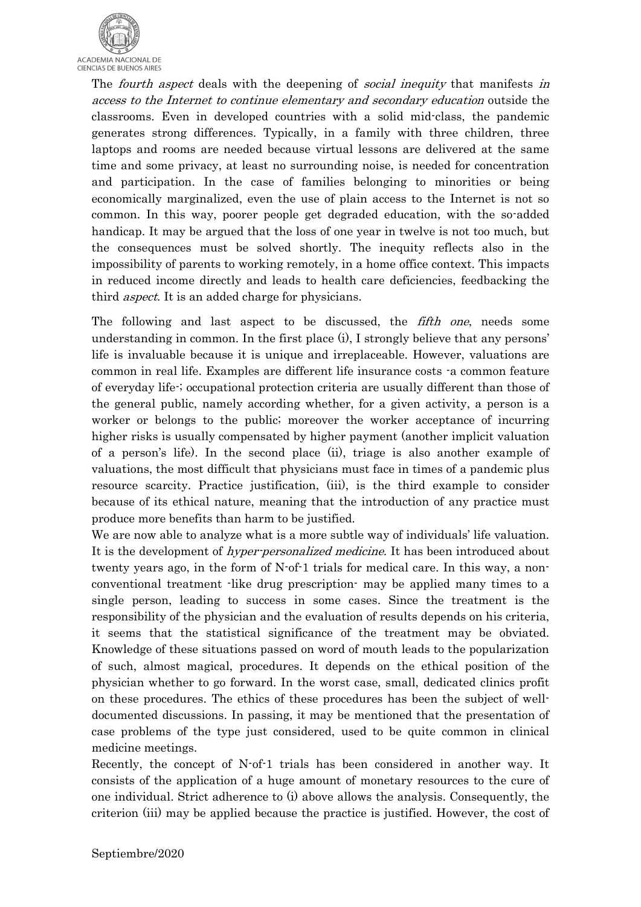

The *fourth aspect* deals with the deepening of *social inequity* that manifests in access to the Internet to continue elementary and secondary education outside the classrooms. Even in developed countries with a solid mid-class, the pandemic generates strong differences. Typically, in a family with three children, three laptops and rooms are needed because virtual lessons are delivered at the same time and some privacy, at least no surrounding noise, is needed for concentration and participation. In the case of families belonging to minorities or being economically marginalized, even the use of plain access to the Internet is not so common. In this way, poorer people get degraded education, with the so-added handicap. It may be argued that the loss of one year in twelve is not too much, but the consequences must be solved shortly. The inequity reflects also in the impossibility of parents to working remotely, in a home office context. This impacts in reduced income directly and leads to health care deficiencies, feedbacking the third *aspect*. It is an added charge for physicians.

The following and last aspect to be discussed, the *fifth one*, needs some understanding in common. In the first place (i), I strongly believe that any persons' life is invaluable because it is unique and irreplaceable. However, valuations are common in real life. Examples are different life insurance costs -a common feature of everyday life-; occupational protection criteria are usually different than those of the general public, namely according whether, for a given activity, a person is a worker or belongs to the public; moreover the worker acceptance of incurring higher risks is usually compensated by higher payment (another implicit valuation of a person's life). In the second place (ii), triage is also another example of valuations, the most difficult that physicians must face in times of a pandemic plus resource scarcity. Practice justification, (iii), is the third example to consider because of its ethical nature, meaning that the introduction of any practice must produce more benefits than harm to be justified.

We are now able to analyze what is a more subtle way of individuals' life valuation. It is the development of *hyper-personalized medicine*. It has been introduced about twenty years ago, in the form of N-of-1 trials for medical care. In this way, a nonconventional treatment -like drug prescription- may be applied many times to a single person, leading to success in some cases. Since the treatment is the responsibility of the physician and the evaluation of results depends on his criteria, it seems that the statistical significance of the treatment may be obviated. Knowledge of these situations passed on word of mouth leads to the popularization of such, almost magical, procedures. It depends on the ethical position of the physician whether to go forward. In the worst case, small, dedicated clinics profit on these procedures. The ethics of these procedures has been the subject of welldocumented discussions. In passing, it may be mentioned that the presentation of case problems of the type just considered, used to be quite common in clinical medicine meetings.

Recently, the concept of N-of-1 trials has been considered in another way. It consists of the application of a huge amount of monetary resources to the cure of one individual. Strict adherence to (i) above allows the analysis. Consequently, the criterion (iii) may be applied because the practice is justified. However, the cost of